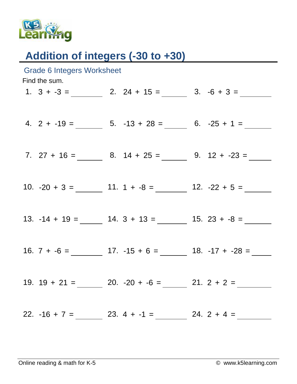

## Addition of integers (-30 to +30)

| <b>Grade 6 Integers Worksheet</b><br>Find the sum. |  |  |  |                                                                                                                                                                                                                                                                                                                                 |  |  |  |
|----------------------------------------------------|--|--|--|---------------------------------------------------------------------------------------------------------------------------------------------------------------------------------------------------------------------------------------------------------------------------------------------------------------------------------|--|--|--|
|                                                    |  |  |  |                                                                                                                                                                                                                                                                                                                                 |  |  |  |
|                                                    |  |  |  |                                                                                                                                                                                                                                                                                                                                 |  |  |  |
|                                                    |  |  |  |                                                                                                                                                                                                                                                                                                                                 |  |  |  |
|                                                    |  |  |  |                                                                                                                                                                                                                                                                                                                                 |  |  |  |
|                                                    |  |  |  |                                                                                                                                                                                                                                                                                                                                 |  |  |  |
|                                                    |  |  |  |                                                                                                                                                                                                                                                                                                                                 |  |  |  |
|                                                    |  |  |  |                                                                                                                                                                                                                                                                                                                                 |  |  |  |
|                                                    |  |  |  |                                                                                                                                                                                                                                                                                                                                 |  |  |  |
|                                                    |  |  |  |                                                                                                                                                                                                                                                                                                                                 |  |  |  |
|                                                    |  |  |  |                                                                                                                                                                                                                                                                                                                                 |  |  |  |
|                                                    |  |  |  |                                                                                                                                                                                                                                                                                                                                 |  |  |  |
|                                                    |  |  |  |                                                                                                                                                                                                                                                                                                                                 |  |  |  |
|                                                    |  |  |  |                                                                                                                                                                                                                                                                                                                                 |  |  |  |
|                                                    |  |  |  |                                                                                                                                                                                                                                                                                                                                 |  |  |  |
|                                                    |  |  |  |                                                                                                                                                                                                                                                                                                                                 |  |  |  |
|                                                    |  |  |  | 1. $3 + -3 =$ 2. $24 + 15 =$ 3. $-6 + 3 =$<br>4. $2 + -19 =$ 5. $-13 + 28 =$ 6. $-25 + 1 =$<br>7. $27 + 16 =$ 8. $14 + 25 =$ 9. $12 + -23 =$<br>13. $-14 + 19 =$ $\_\_\_\_\_\_$ 14. $3 + 13 =$ $\_\_\_\_\_\_$ 15. $23 + -8 =$<br>19. $19 + 21 =$ 20. $-20 + -6 =$ 21. $2 + 2 =$<br>22. $-16 + 7 =$ 23. $4 + -1 =$ 24. $2 + 4 =$ |  |  |  |